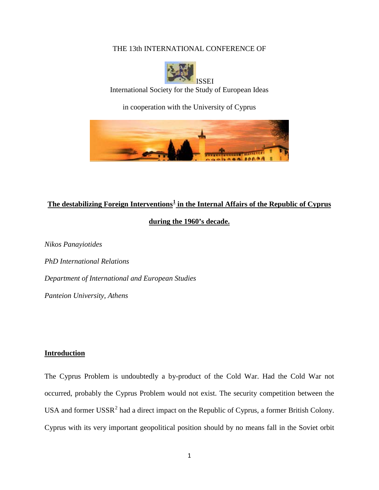## THE 13th INTERNATIONAL CONFERENCE OF



International Society for the Study of European Ideas

in cooperation with the University of Cyprus



# **The destabilizing Foreign Interventions[1](#page-14-0) in the Internal Affairs of the Republic of Cyprus during the 1960's decade.**

*Nikos Panayiotides PhD International Relations Department of International and European Studies Panteion University, Athens*

## **Introduction**

The Cyprus Problem is undoubtedly a by-product of the Cold War. Had the Cold War not occurred, probably the Cyprus Problem would not exist. The security competition between the USA and former  $USSR<sup>2</sup>$  $USSR<sup>2</sup>$  $USSR<sup>2</sup>$  had a direct impact on the Republic of Cyprus, a former British Colony. Cyprus with its very important geopolitical position should by no means fall in the Soviet orbit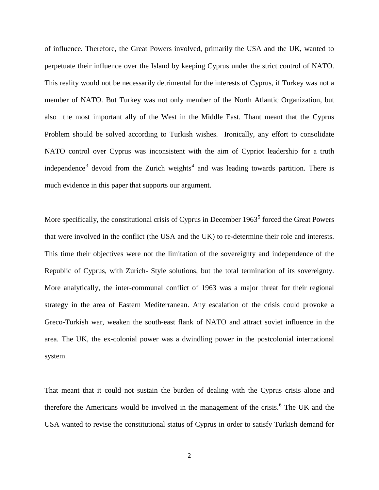of influence. Therefore, the Great Powers involved, primarily the USA and the UK, wanted to perpetuate their influence over the Island by keeping Cyprus under the strict control of NATO. This reality would not be necessarily detrimental for the interests of Cyprus, if Turkey was not a member of NATO. But Turkey was not only member of the North Atlantic Organization, but also the most important ally of the West in the Middle East. Thant meant that the Cyprus Problem should be solved according to Turkish wishes. Ironically, any effort to consolidate NATO control over Cyprus was inconsistent with the aim of Cypriot leadership for a truth independence<sup>[3](#page-15-1)</sup> devoid from the Zurich weights<sup>[4](#page-15-2)</sup> and was leading towards partition. There is much evidence in this paper that supports our argument.

More specifically, the constitutional crisis of Cyprus in December  $1963<sup>5</sup>$  $1963<sup>5</sup>$  $1963<sup>5</sup>$  forced the Great Powers that were involved in the conflict (the USA and the UK) to re-determine their role and interests. This time their objectives were not the limitation of the sovereignty and independence of the Republic of Cyprus, with Zurich- Style solutions, but the total termination of its sovereignty. More analytically, the inter-communal conflict of 1963 was a major threat for their regional strategy in the area of Eastern Mediterranean. Any escalation of the crisis could provoke a Greco-Turkish war, weaken the south-east flank of NATO and attract soviet influence in the area. The UK, the ex-colonial power was a dwindling power in the postcolonial international system.

That meant that it could not sustain the burden of dealing with the Cyprus crisis alone and therefore the Americans would be involved in the management of the crisis.<sup>[6](#page-15-4)</sup> The UK and the USA wanted to revise the constitutional status of Cyprus in order to satisfy Turkish demand for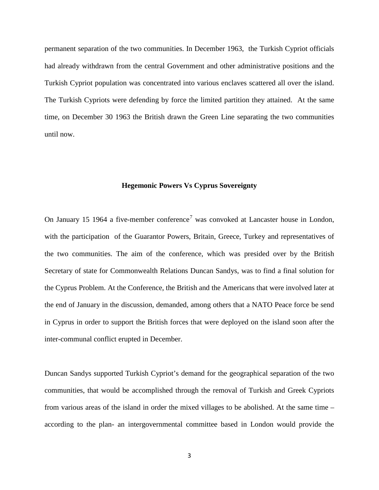permanent separation of the two communities. In December 1963, the Turkish Cypriot officials had already withdrawn from the central Government and other administrative positions and the Turkish Cypriot population was concentrated into various enclaves scattered all over the island. The Turkish Cypriots were defending by force the limited partition they attained. At the same time, on December 30 1963 the British drawn the Green Line separating the two communities until now.

## **Hegemonic Powers Vs Cyprus Sovereignty**

On January 15 1964 a five-member conference<sup>[7](#page-15-5)</sup> was convoked at Lancaster house in London, with the participation of the Guarantor Powers, Britain, Greece, Turkey and representatives of the two communities. The aim of the conference, which was presided over by the British Secretary of state for Commonwealth Relations Duncan Sandys, was to find a final solution for the Cyprus Problem. At the Conference, the British and the Americans that were involved later at the end of January in the discussion, demanded, among others that a NATO Peace force be send in Cyprus in order to support the British forces that were deployed on the island soon after the inter-communal conflict erupted in December.

Duncan Sandys supported Turkish Cypriot's demand for the geographical separation of the two communities, that would be accomplished through the removal of Turkish and Greek Cypriots from various areas of the island in order the mixed villages to be abolished. At the same time – according to the plan- an intergovernmental committee based in London would provide the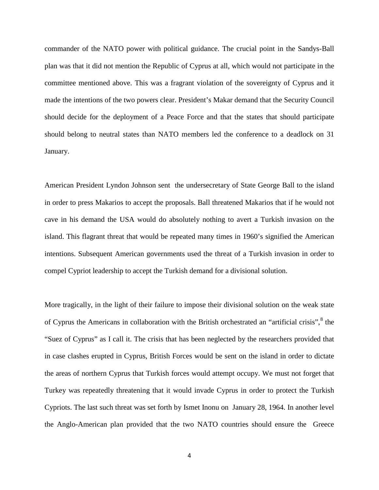commander of the NATO power with political guidance. The crucial point in the Sandys-Ball plan was that it did not mention the Republic of Cyprus at all, which would not participate in the committee mentioned above. This was a fragrant violation of the sovereignty of Cyprus and it made the intentions of the two powers clear. President's Makar demand that the Security Council should decide for the deployment of a Peace Force and that the states that should participate should belong to neutral states than NATO members led the conference to a deadlock on 31 January.

American President Lyndon Johnson sent the undersecretary of State George Ball to the island in order to press Makarios to accept the proposals. Ball threatened Makarios that if he would not cave in his demand the USA would do absolutely nothing to avert a Turkish invasion on the island. This flagrant threat that would be repeated many times in 1960's signified the American intentions. Subsequent American governments used the threat of a Turkish invasion in order to compel Cypriot leadership to accept the Turkish demand for a divisional solution.

More tragically, in the light of their failure to impose their divisional solution on the weak state of Cyprus the Americans in collaboration with the British orchestrated an "artificial crisis", <sup>[8](#page-15-6)</sup> the "Suez of Cyprus" as I call it. The crisis that has been neglected by the researchers provided that in case clashes erupted in Cyprus, British Forces would be sent on the island in order to dictate the areas of northern Cyprus that Turkish forces would attempt occupy. We must not forget that Turkey was repeatedly threatening that it would invade Cyprus in order to protect the Turkish Cypriots. The last such threat was set forth by Ismet Inonu on January 28, 1964. In another level the Anglo-American plan provided that the two NATO countries should ensure the Greece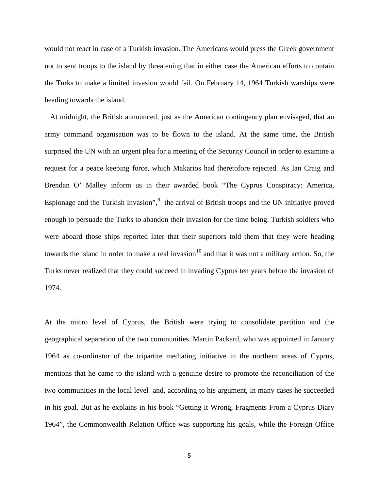would not react in case of a Turkish invasion. The Americans would press the Greek government not to sent troops to the island by threatening that in either case the American efforts to contain the Turks to make a limited invasion would fail. On February 14, 1964 Turkish warships were heading towards the island.

 At midnight, the British announced, just as the American contingency plan envisaged, that an army command organisation was to be flown to the island. At the same time, the British surprised the UN with an urgent plea for a meeting of the Security Council in order to examine a request for a peace keeping force, which Makarios had theretofore rejected. As Ian Craig and Brendan O' Malley inform us in their awarded book "The Cyprus Conspiracy: America, Espionage and the Turkish Invasion",<sup>[9](#page-15-7)</sup> the arrival of British troops and the UN initiative proved enough to persuade the Turks to abandon their invasion for the time being. Turkish soldiers who were aboard those ships reported later that their superiors told them that they were heading towards the island in order to make a real invasion<sup>[10](#page-15-8)</sup> and that it was not a military action. So, the Turks never realized that they could succeed in invading Cyprus ten years before the invasion of 1974.

At the micro level of Cyprus, the British were trying to consolidate partition and the geographical separation of the two communities. Martin Packard, who was appointed in January 1964 as co-ordinator of the tripartite mediating initiative in the northern areas of Cyprus, mentions that he came to the island with a genuine desire to promote the reconciliation of the two communities in the local level and, according to his argument, in many cases he succeeded in his goal. But as he explains in his book "Getting it Wrong, Fragments From a Cyprus Diary 1964", the Commonwealth Relation Office was supporting his goals, while the Foreign Office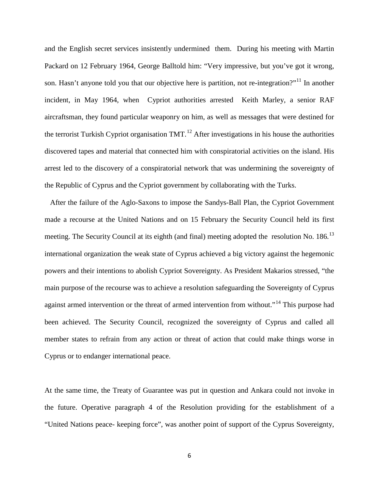and the English secret services insistently undermined them. During his meeting with Martin Packard on 12 February 1964, George Balltold him: "Very impressive, but you've got it wrong, son. Hasn't anyone told you that our objective here is partition, not re-integration?"<sup>[11](#page-15-9)</sup> In another incident, in May 1964, when Cypriot authorities arrested Keith Marley, a senior RAF aircraftsman, they found particular weaponry on him, as well as messages that were destined for the terrorist Turkish Cypriot organisation TMT.<sup>[12](#page-15-10)</sup> After investigations in his house the authorities discovered tapes and material that connected him with conspiratorial activities on the island. His arrest led to the discovery of a conspiratorial network that was undermining the sovereignty of the Republic of Cyprus and the Cypriot government by collaborating with the Turks.

 After the failure of the Aglo-Saxons to impose the Sandys-Ball Plan, the Cypriot Government made a recourse at the United Nations and on 15 February the Security Council held its first meeting. The Security Council at its eighth (and final) meeting adopted the resolution No. 186.<sup>[13](#page-15-11)</sup> international organization the weak state of Cyprus achieved a big victory against the hegemonic powers and their intentions to abolish Cypriot Sovereignty. As President Makarios stressed, "the main purpose of the recourse was to achieve a resolution safeguarding the Sovereignty of Cyprus against armed intervention or the threat of armed intervention from without."<sup>[14](#page-15-12)</sup> This purpose had been achieved. The Security Council, recognized the sovereignty of Cyprus and called all member states to refrain from any action or threat of action that could make things worse in Cyprus or to endanger international peace.

At the same time, the Treaty of Guarantee was put in question and Ankara could not invoke in the future. Operative paragraph 4 of the Resolution providing for the establishment of a "United Nations peace- keeping force", was another point of support of the Cyprus Sovereignty,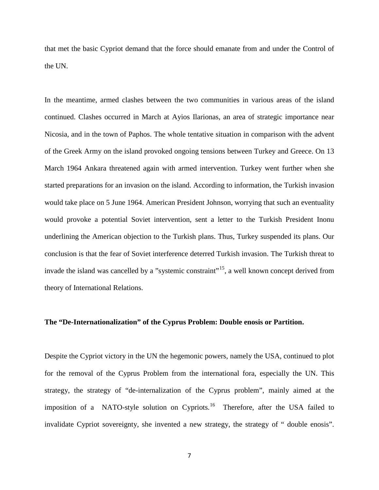that met the basic Cypriot demand that the force should emanate from and under the Control of the UN.

In the meantime, armed clashes between the two communities in various areas of the island continued. Clashes occurred in March at Ayios Ilarionas, an area of strategic importance near Nicosia, and in the town of Paphos. The whole tentative situation in comparison with the advent of the Greek Army on the island provoked ongoing tensions between Turkey and Greece. On 13 March 1964 Ankara threatened again with armed intervention. Turkey went further when she started preparations for an invasion on the island. According to information, the Turkish invasion would take place on 5 June 1964. American President Johnson, worrying that such an eventuality would provoke a potential Soviet intervention, sent a letter to the Turkish President Inonu underlining the American objection to the Turkish plans. Thus, Turkey suspended its plans. Our conclusion is that the fear of Soviet interference deterred Turkish invasion. The Turkish threat to invade the island was cancelled by a "systemic constraint"<sup>15</sup>, a well known concept derived from theory of Ιnternational Relations.

#### **The "De-Internationalization" of the Cyprus Problem: Double enosis or Partition.**

Despite the Cypriot victory in the UN the hegemonic powers, namely the USA, continued to plot for the removal of the Cyprus Problem from the international fora, especially the UN. This strategy, the strategy of "de-internalization of the Cyprus problem", mainly aimed at the imposition of a NATO-style solution on Cypriots.<sup>16</sup> Therefore, after the USA failed to invalidate Cypriot sovereignty, she invented a new strategy, the strategy of " double enosis".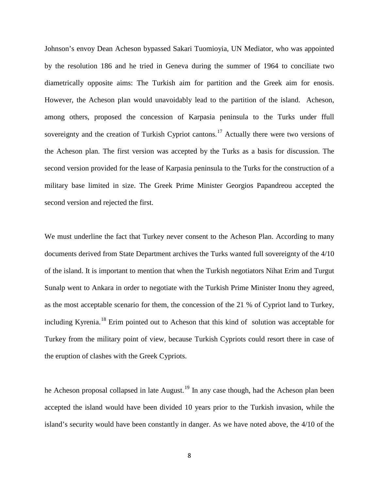Johnson's envoy Dean Acheson bypassed Sakari Tuomioyia, UN Mediator, who was appointed by the resolution 186 and he tried in Geneva during the summer of 1964 to conciliate two diametrically opposite aims: The Turkish aim for partition and the Greek aim for enosis. However, the Acheson plan would unavoidably lead to the partition of the island. Acheson, among others, proposed the concession of Karpasia peninsula to the Turks under ffull sovereignty and the creation of Turkish Cypriot cantons.<sup>[17](#page-15-15)</sup> Actually there were two versions of the Acheson plan. The first version was accepted by the Turks as a basis for discussion. The second version provided for the lease of Karpasia peninsula to the Turks for the construction of a military base limited in size. The Greek Prime Minister Georgios Papandreou accepted the second version and rejected the first.

We must underline the fact that Turkey never consent to the Acheson Plan. According to many documents derived from State Department archives the Turks wanted full sovereignty of the 4/10 of the island. It is important to mention that when the Turkish negotiators Nihat Erim and Turgut Sunalp went to Ankara in order to negotiate with the Turkish Prime Minister Inonu they agreed, as the most acceptable scenario for them, the concession of the 21 % of Cypriot land to Turkey, including Kyrenia.<sup>[18](#page-15-16)</sup> Erim pointed out to Acheson that this kind of solution was acceptable for Turkey from the military point of view, because Turkish Cypriots could resort there in case of the eruption of clashes with the Greek Cypriots.

he Acheson proposal collapsed in late August.<sup>[19](#page-15-17)</sup> In any case though, had the Acheson plan been accepted the island would have been divided 10 years prior to the Turkish invasion, while the island's security would have been constantly in danger. As we have noted above, the 4/10 of the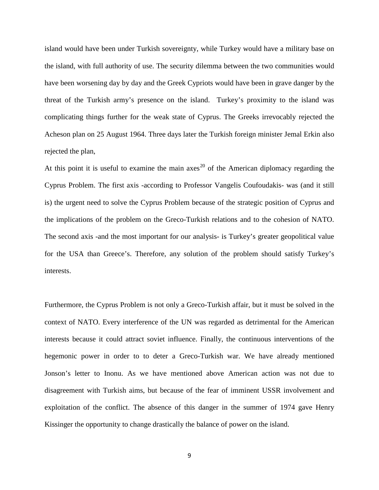island would have been under Turkish sovereignty, while Turkey would have a military base on the island, with full authority of use. The security dilemma between the two communities would have been worsening day by day and the Greek Cypriots would have been in grave danger by the threat of the Turkish army's presence on the island. Turkey's proximity to the island was complicating things further for the weak state of Cyprus. The Greeks irrevocably rejected the Acheson plan on 25 August 1964. Three days later the Turkish foreign minister Jemal Erkin also rejected the plan,

At this point it is useful to examine the main  $a$ xes<sup>[20](#page-16-0)</sup> of the American diplomacy regarding the Cyprus Problem. The first axis -according to Professor Vangelis Coufoudakis- was (and it still is) the urgent need to solve the Cyprus Problem because of the strategic position of Cyprus and the implications of the problem on the Greco-Turkish relations and to the cohesion of NATO. The second axis -and the most important for our analysis- is Turkey's greater geopolitical value for the USA than Greece's. Therefore, any solution of the problem should satisfy Turkey's interests.

Furthermore, the Cyprus Problem is not only a Greco-Turkish affair, but it must be solved in the context of NATO. Every interference of the UN was regarded as detrimental for the American interests because it could attract soviet influence. Finally, the continuous interventions of the hegemonic power in order to to deter a Greco-Turkish war. We have already mentioned Jonson's letter to Inonu. As we have mentioned above American action was not due to disagreement with Turkish aims, but because of the fear of imminent USSR involvement and exploitation of the conflict. The absence of this danger in the summer of 1974 gave Henry Kissinger the opportunity to change drastically the balance of power on the island.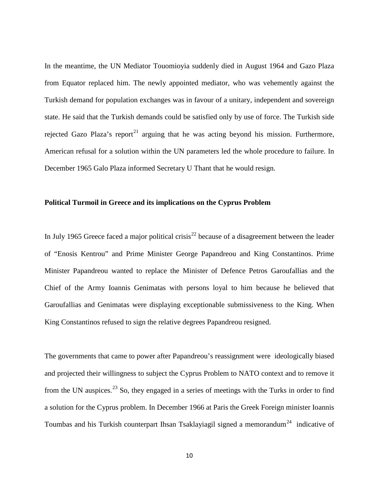In the meantime, the UN Mediator Touomioyia suddenly died in August 1964 and Gazo Plaza from Equator replaced him. The newly appointed mediator, who was vehemently against the Turkish demand for population exchanges was in favour of a unitary, independent and sovereign state. He said that the Turkish demands could be satisfied only by use of force. The Turkish side rejected Gazo Plaza's report<sup>[21](#page-16-1)</sup> arguing that he was acting beyond his mission. Furthermore, American refusal for a solution within the UN parameters led the whole procedure to failure. In December 1965 Galo Plaza informed Secretary U Thant that he would resign.

## **Political Turmoil in Greece and its implications on the Cyprus Problem**

In July 1965 Greece faced a major political crisis<sup>[22](#page-16-2)</sup> because of a disagreement between the leader of "Enosis Kentrou" and Prime Minister George Papandreou and King Constantinos. Prime Minister Papandreou wanted to replace the Minister of Defence Petros Garoufallias and the Chief of the Army Ioannis Genimatas with persons loyal to him because he believed that Garoufallias and Genimatas were displaying exceptionable submissiveness to the King. When King Constantinos refused to sign the relative degrees Papandreou resigned.

The governments that came to power after Papandreou's reassignment were ideologically biased and projected their willingness to subject the Cyprus Problem to NATO context and to remove it from the UN auspices.<sup>[23](#page-16-3)</sup> So, they engaged in a series of meetings with the Turks in order to find a solution for the Cyprus problem. In December 1966 at Paris the Greek Foreign minister Ioannis Toumbas and his Turkish counterpart Ihsan Tsaklayiagil signed a memorandum<sup>[24](#page-16-4)</sup> indicative of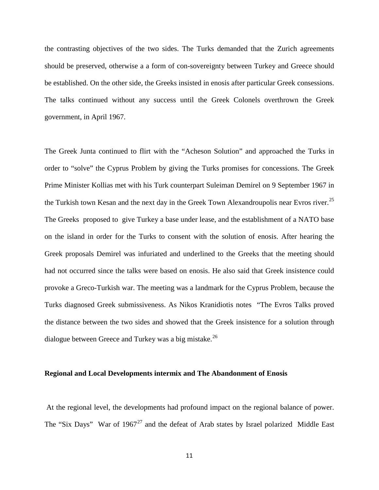the contrasting objectives of the two sides. The Turks demanded that the Zurich agreements should be preserved, otherwise a a form of con-sovereignty between Turkey and Greece should be established. On the other side, the Greeks insisted in enosis after particular Greek consessions. The talks continued without any success until the Greek Colonels overthrown the Greek government, in April 1967.

The Greek Junta continued to flirt with the "Acheson Solution" and approached the Turks in order to "solve" the Cyprus Problem by giving the Turks promises for concessions. The Greek Prime Minister Kollias met with his Turk counterpart Suleiman Demirel on 9 September 1967 in the Turkish town Kesan and the next day in the Greek Town Alexandroupolis near Evros river.<sup>[25](#page-16-5)</sup> The Greeks proposed to give Turkey a base under lease, and the establishment of a NATO base on the island in order for the Turks to consent with the solution of enosis. After hearing the Greek proposals Demirel was infuriated and underlined to the Greeks that the meeting should had not occurred since the talks were based on enosis. He also said that Greek insistence could provoke a Greco-Turkish war. The meeting was a landmark for the Cyprus Problem, because the Turks diagnosed Greek submissiveness. As Nikos Kranidiotis notes "The Evros Talks proved the distance between the two sides and showed that the Greek insistence for a solution through dialogue between Greece and Turkey was a big mistake.<sup>[26](#page-16-6)</sup>

#### **Regional and Local Developments intermix and The Abandonment of Enosis**

At the regional level, the developments had profound impact on the regional balance of power. The "Six Days" War of  $1967<sup>27</sup>$  $1967<sup>27</sup>$  $1967<sup>27</sup>$  and the defeat of Arab states by Israel polarized Middle East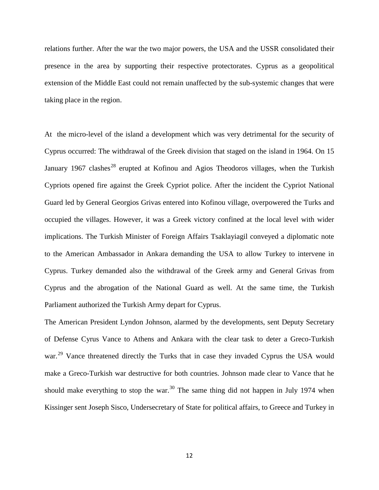relations further. After the war the two major powers, the USA and the USSR consolidated their presence in the area by supporting their respective protectorates. Cyprus as a geopolitical extension of the Middle East could not remain unaffected by the sub-systemic changes that were taking place in the region.

At the micro-level of the island a development which was very detrimental for the security of Cyprus occurred: The withdrawal of the Greek division that staged on the island in 1964. On 15 January 1967 clashes<sup>[28](#page-16-8)</sup> erupted at Kofinou and Agios Theodoros villages, when the Turkish Cypriots opened fire against the Greek Cypriot police. After the incident the Cypriot National Guard led by General Georgios Grivas entered into Kofinou village, overpowered the Turks and occupied the villages. However, it was a Greek victory confined at the local level with wider implications. The Turkish Minister of Foreign Affairs Tsaklayiagil conveyed a diplomatic note to the American Ambassador in Ankara demanding the USA to allow Turkey to intervene in Cyprus. Turkey demanded also the withdrawal of the Greek army and General Grivas from Cyprus and the abrogation of the National Guard as well. At the same time, the Turkish Parliament authorized the Turkish Army depart for Cyprus.

The American President Lyndon Johnson, alarmed by the developments, sent Deputy Secretary of Defense Cyrus Vance to Athens and Ankara with the clear task to deter a Greco-Turkish war.<sup>[29](#page-16-9)</sup> Vance threatened directly the Turks that in case they invaded Cyprus the USA would make a Greco-Turkish war destructive for both countries. Johnson made clear to Vance that he should make everything to stop the war.<sup>[30](#page-16-10)</sup> The same thing did not happen in July 1974 when Kissinger sent Joseph Sisco, Undersecretary of State for political affairs, to Greece and Turkey in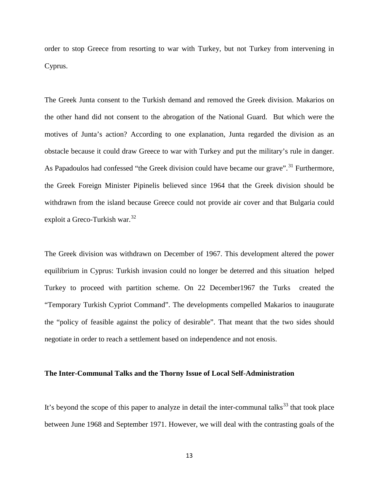order to stop Greece from resorting to war with Turkey, but not Turkey from intervening in Cyprus.

The Greek Junta consent to the Turkish demand and removed the Greek division. Makarios on the other hand did not consent to the abrogation of the National Guard. But which were the motives of Junta's action? According to one explanation, Junta regarded the division as an obstacle because it could draw Greece to war with Turkey and put the military's rule in danger. As Papadoulos had confessed "the Greek division could have became our grave".<sup>[31](#page-16-11)</sup> Furthermore, the Greek Foreign Minister Pipinelis believed since 1964 that the Greek division should be withdrawn from the island because Greece could not provide air cover and that Bulgaria could exploit a Greco-Turkish war.  $32$ 

The Greek division was withdrawn on December of 1967. This development altered the power equilibrium in Cyprus: Turkish invasion could no longer be deterred and this situation helped Turkey to proceed with partition scheme. On 22 December1967 the Turks created the "Temporary Turkish Cypriot Command". The developments compelled Makarios to inaugurate the "policy of feasible against the policy of desirable". That meant that the two sides should negotiate in order to reach a settlement based on independence and not enosis.

### **The Inter-Communal Talks and the Thorny Issue of Local Self-Administration**

It's beyond the scope of this paper to analyze in detail the inter-communal talks<sup>[33](#page-16-13)</sup> that took place between June 1968 and September 1971. However, we will deal with the contrasting goals of the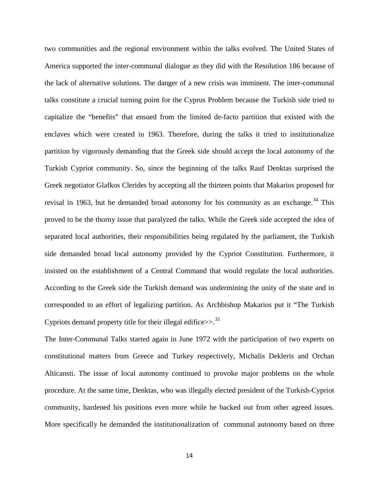two communities and the regional environment within the talks evolved. The United States of America supported the inter-communal dialogue as they did with the Resolution 186 because of the lack of alternative solutions. The danger of a new crisis was imminent. The inter-communal talks constitute a crucial turning point for the Cyprus Problem because the Turkish side tried to capitalize the "benefits" that ensued from the limited de-facto partition that existed with the enclaves which were created in 1963. Therefore, during the talks it tried to institutionalize partition by vigorously demanding that the Greek side should accept the local autonomy of the Turkish Cypriot community. So, since the beginning of the talks Rauf Denktas surprised the Greek negotiator Glafkos Clerides by accepting all the thirteen points that Makarios proposed for revisal in 1963, but he demanded broad autonomy for his community as an exchange.<sup>[34](#page-16-14)</sup> This proved to be the thorny issue that paralyzed the talks. While the Greek side accepted the idea of separated local authorities, their responsibilities being regulated by the parliament, the Turkish side demanded broad local autonomy provided by the Cypriot Constitution. Furthermore, it insisted on the establishment of a Central Command that would regulate the local authorities. According to the Greek side the Turkish demand was undermining the unity of the state and in corresponded to an effort of legalizing partition. As Archbishop Makarios put it "The Turkish Cypriots demand property title for their illegal edifice $>>$ .<sup>[35](#page-16-15)</sup>

The Inter-Communal Talks started again in June 1972 with the participation of two experts on constitutional matters from Greece and Turkey respectively, Michalis Dekleris and Orchan Alticansti. The issue of local autonomy continued to provoke major problems on the whole procedure. At the same time, Denktas, who was illegally elected president of the Turkish-Cypriot community, hardened his positions even more while he backed out from other agreed issues. More specifically he demanded the institutionalization of communal autonomy based on three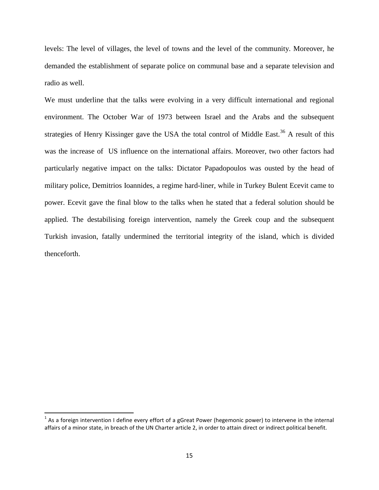levels: The level of villages, the level of towns and the level of the community. Moreover, he demanded the establishment of separate police on communal base and a separate television and radio as well.

We must underline that the talks were evolving in a very difficult international and regional environment. The October War of 1973 between Israel and the Arabs and the subsequent strategies of Henry Kissinger gave the USA the total control of Middle East.<sup>[36](#page-16-16)</sup> A result of this was the increase of US influence on the international affairs. Moreover, two other factors had particularly negative impact on the talks: Dictator Papadopoulos was ousted by the head of military police, Demitrios Ioannides, a regime hard-liner, while in Turkey Bulent Ecevit came to power. Ecevit gave the final blow to the talks when he stated that a federal solution should be applied. The destabilising foreign intervention, namely the Greek coup and the subsequent Turkish invasion, fatally undermined the territorial integrity of the island, which is divided thenceforth.

<span id="page-14-0"></span> $1$  As a foreign intervention I define every effort of a gGreat Power (hegemonic power) to intervene in the internal affairs of a minor state, in breach of the UN Charter article 2, in order to attain direct or indirect political benefit.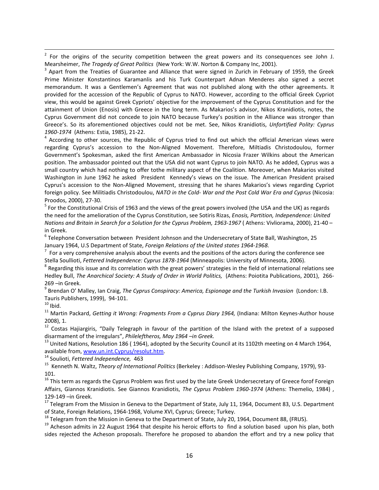<span id="page-15-0"></span> 2 For the origins of the security competition between the great powers and its consequences see John J. Mearsheimer, *The Tragedy of Great Politics* (New York: W.W. Norton & Company Inc, 2001).<br><sup>3</sup> Apart from the Treaties of Guarantee and Alliance that were signed in Zurich in February of 1959, the Greek

<span id="page-15-1"></span>Prime Minister Konstantinos Karamanlis and his Turk Counterpart Adnan Menderes also signed a secret memorandum. It was a Gentlemen's Agreement that was not published along with the other agreements. It provided for the accession of the Republic of Cyprus to NATO. However, according to the official Greek Cypriot view, this would be against Greek Cypriots' objective for the improvement of the Cyprus Constitution and for the attainment of Union (Enosis) with Greece in the long term. As Makarios's advisor, Nikos Kranidiotis, notes, the Cyprus Government did not concede to join NATO because Turkey's position in the Alliance was stronger than Greece's. So its aforementioned objectives could not be met. See, Nikos Kranidiotis, *Unfortified Polity: Cyprus* 

<span id="page-15-2"></span>1960-1974 (Athens: Estia, 1985), 21-22.<br><sup>4</sup> According to other sources, the Republic of Cyprus tried to find out which the official American views were regarding Cyprus's accession to the Non-Aligned Movement. Therefore, Miltiadis Christodoulou, former Government's Spokesman, asked the first American Ambassador in Nicosia Frazer Wilkins about the American position. The ambassador pointed out that the USA did not want Cyprus to join NATO. As he added, Cyprus was a small country which had nothing to offer tothe military aspect of the Coalition. Moreover, when Makarios visited Washington in June 1962 he asked President Kennedy's views on the issue. The American President praised Cyprus's accession to the Non-Aligned Movement, stressing that he shares Makarios's views regarding Cypriot foreign policy. See Militiadis Christodoulou, *NATO in the Cold- War and the Post Cold War Era and Cyprus* (Nicosia: Proodos, 2000), 27-30.<br><sup>5</sup> For the Constitutional Crisis of 1963 and the views of the great powers involved (the USA and the UK) as regards

<span id="page-15-3"></span>the need for the amelioration of the Cyprus Constitution, see Sotiris Rizas, *Enosis, Partition, Independence: United Nations and Britain in Search for a Solution for the Cyprus Problem, 1963-1967* ( Athens: Vivliorama, 2000), 21-40 – in Greek.

<span id="page-15-4"></span> $6$  Telephone Conversation between President Johnson and the Undersecretary of State Ball, Washington, 25 January 1964, U.S Department of State, *Foreign Relations of the United states 1964-1968.* <sup>7</sup>

<span id="page-15-5"></span> $7$  For a very comprehensive analysis about the events and the positions of the actors during the conference see Stella Soullioti, Fettered Independence: Cyprus 1878-1964 (Minneapolis: University of Minnesota, 2006).<br><sup>8</sup> Regarding this issue and its correlation with the great powers' strategies in the field of international relations

<span id="page-15-6"></span>Hedley Bull, *The Anarchical Society: A Study of Order in World Politics,* (Athens: Poiotita Publications, 2001), 266-

269 –in Greek.<br><sup>9</sup> Brendan O' Malley, Ian Craig, *The Cyprus Conspiracy: America, Espionage and the Turkish Invasion* (London: Ι.Β.

<span id="page-15-9"></span>

<span id="page-15-8"></span><span id="page-15-7"></span>Tauris Publishers, 1999), 94-101.<br><sup>10</sup> Ibid.<br><sup>11</sup> Martin Packard, *Getting it Wrong: Fragments From a Cyprus Diary 1964,* (Indiana: Milton Keynes-Author house 2008), 1.<br><sup>12</sup> Costas Hajiargiris, "Daily Telegraph in favour of the partition of the Island with the pretext of a supposed

<span id="page-15-11"></span><span id="page-15-10"></span>disarmament of the irregulars", *Phileleftheros, May 1964 –in Greek*.<br><sup>13</sup> United Nations, Resolution 186 ( 1964), adopted by the Security Council at its 1102th meeting on 4 March 1964, available from, www.un.int.Cyprus/re

<span id="page-15-13"></span><span id="page-15-12"></span><sup>14</sup> Soulioti, *Fettered Independence,* 463<br><sup>15</sup> Kenneth N. Waltz, *Theory of International Politics* (Berkeley : Addison-Wesley Publishing Company, 1979), 93-101.

<span id="page-15-14"></span><sup>16</sup> This term as regards the Cyprus Problem was first used by the late Greek Undersecretary of Greece forof Foreign Affairs, Giannos Kranidiotis. See Giannos Kranidiotis, *The Cyprus Problem 1960-1974* (Athens: Themelio, 1984) ,

<span id="page-15-15"></span>129-149 –in Greek.<br><sup>17</sup> Telegram From the Mission in Geneva to the Department of State, July 11, 1964, Document 83, U.S. Department<br>of State, Foreign Relations, 1964-1968, Volume XVI, Cyprus; Greece; Turkey.

<span id="page-15-17"></span><span id="page-15-16"></span><sup>18</sup> Telegram from the Mission in Geneva to the Department of State, July 20, 1964, Document 88, (FRUS).<br><sup>19</sup> Acheson admits in 22 August 1964 that despite his heroic efforts to find a solution based upon his plan, both sides rejected the Acheson proposals. Therefore he proposed to abandon the effort and try a new policy that